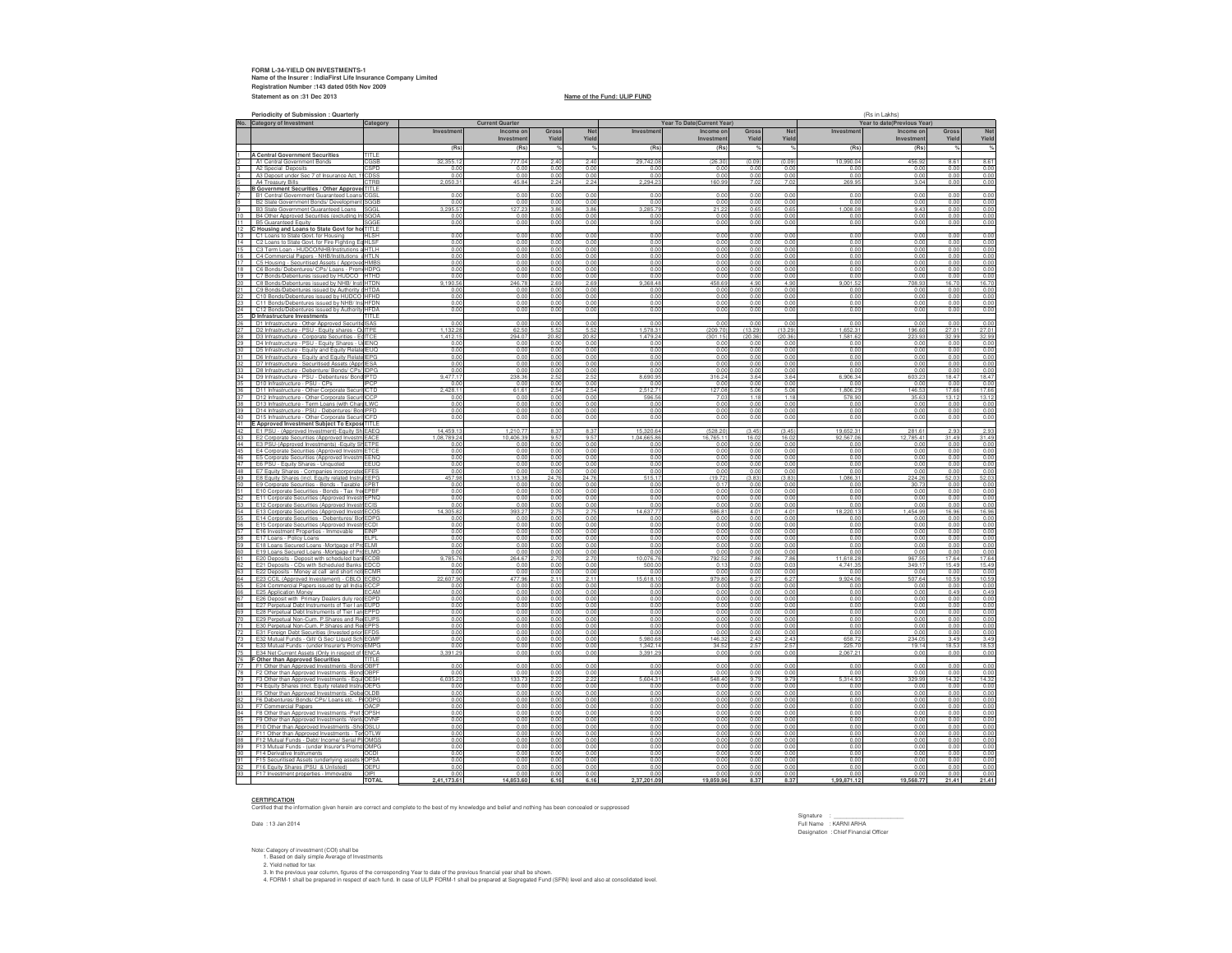## **FORM L-34-YIELD ON INVESTMENTS-1 Name of the Insurer : IndiaFirst Life Insurance Company LimitedRegistration Number :143 dated 05th Nov 2009Statement as on :31 Dec 2013**

### **Name of the Fund: ULIP FUND**

**Periodicity of Submission : QuarterlyNo. Category of Investment Categoryy** (Rs in Lakhs) (Rs in Lakhs) **Investment Income on InvestmentGross YieldNet YieldInvestment Income on InvestmentGross YieldNet YieldInvestment Income on InvestmentGross YieldNet Yield(Rs) (Rs) % % (Rs) (Rs) % % (Rs) (Rs) % %**1 A Central Government Securities<br>
2 A1 Central Government Bonds<br>
3 A2 Special Deposits<br>
42 A4 Depositure Research Consumer Act, 1005S<br>
5 A4 Treasury Bills<br>
5 A4 Treasury Bills<br>
6 Boovernment Securities / Other Approver TT 32,355.12 777.04 2.40 2.40 29,742.08 (26.30) (0.09) (0.09) 10,990.04 456.92 8.61 8.61 0.00 0.00 0.00 0.00 0.00 0.00 0.00 0.00 0.00 0.00 0.00 0.00 0.00 0.00 0.00 0.00 0.00 0.00 0.00 0.00 0.00 0.00 0.00 0.00 2,050.31 45.84 2.24 2.24 2,294.23 160.99 7.02 7.02 269.95 3.04 0.00 0.00 CGSL n-SLR Bonds 0.00 0.00 0.00 0.00 0.00 0.00 0.00 0.00 0.00 0.00 0.00 0.00 8 B2 State Government Gundal Development SCGB<br>
2 State Government Gunaritated Loans<br>
2 State Government Guaranteed Loans<br>
2 State Government Guaranteed Loans<br>
2 Construent State Government Construction<br>
2 Construent State SGGB 0.00 0.00 0.00 0.00 0.00 0.00 0.00 0.00 0.00 0.00 0.00 0.00 s SGGL <u>4 3,295.57 127.23 3.86 3.86 3.285.79 21.22 0.65 0.65 1,008.08 9.43 0.00 0.00</u> SGOA Investments) 0.00 0.00 0.00 0.00 0.00 0.00 0.00 0.00 0.00 0.00 0.00 0.00 0.00 0.00 0.00 0.00 0.00 0.00 0.00 0.00 0.00 0.00 0.00 0.00 **ire fighting equipment** 0.00 0.00 0.00 0.00 0.00 0.00 0.00 0.00 0.00 0.00 0.00 0.00 HLSF ts 0.00 0.00 0.00 0.00 0.00 0.00 0.00 0.00 0.00 0.00 0.00 0.00 HTLH HB 0.00 0.00 0.00 0.00 0.00 0.00 0.00 0.00 0.00 0.00 0.00 0.00 NHB 0.00 0.00 0.00 0.00 0.00 0.00 0.00 0.00 0.00 0.00 0.00 0.00 17 C5 Housing - Securitised Assets ( Approved HMBS HMBS 0.00 0.00 0.00 0.00 0.00 0.00 0.00 0.00 0.00 0.00 0.00 0.00 18 C6 Bonds/ Debentures/ CPs/ Loans - Promi HDPG<br>19 C7 Bonds/Debentures issued by HUDCO [HTHD<br>20 C8 Bonds/Debentures issued by NHB/ InstitHTDN HDPG 0.00 0.00 0.00 0.00 0.00 0.00 0.00 0.00 0.00 0.00 0.00 0.00 المراجع التي يستقدم التي يتم التي تعادل التي يتم التي يتم التي يتم التي يتم التي يتم التي يتم التي يتم التي يت<br>ويوم التي يتم التي يتم التي يتم التي يتم التي يتم التي يتم التي يتم التي يتم التي يتم التي يتم التي يتم التي ي HTDNd by NHB 9,190.56 2.69 2.69 2.69 2.69 9,368.48 458.69 4.90 4.90 9,001.52 708.93 16.70 16.70 16.70 21 C9 Bonds/Debentures issued by Authority dHTDA<br>22 C10 Bonds/Debentures issued by HUDCO HFHD HTDA<u>r any Central ding scheme approved by Central Central Central Central Central Central Central Central</u> <u>이 있다는 이 있다. 이 있다는 이 있다는 이 있다는 이 있다는 이 있다는 이 있다는 이 있다는 이 있다. 이 있다는 이 있다는 이 있다.</u><br>- 이 이 있다는 이 있다는 이 있다는 이 있다는 이 있다는 이 있다는 이 있다는 이 있다는 이 있다는 이 있다는 이 있다는 이 있다는 이 있다. 이 있다 23 C11 Bonds/Debentures issued by NHB/ InstHFDN C12 Bonds/Debentures issued by Authority HFDA HFDN ed by NHB 0.00 0.00 0.00 0.00 0.00 0.00 0.00 0.00 0.00 0.00 0.00 0.00 HFDA er any Housing/Building scheme approved by Central/State/ 0.00 0.00 any Authority or Body constituted by Central/State Act. 0.00 0.00 0.00 0.00 0.00 0.00 0.00 0.00 0.00 0.00 **D Infrastructure Investments** TITLE26 | D1 Infrastructure - Other Approved Securitie ISAS 0.00 0.00 0.00 0.00 0.00 0.00 0.00 0.00 0.00 0.00 0.00 0.00 ure - PSU - E ITPE<u>1,132.28 62.50 5.52 5.52 1,578.31 (209.70) (13.29) 1,652.31 1,652.31 1,662.31 1,652.31 196.60 27.01 27.01</u> 28 D3 Infrastructure - Corporate Securities - EqITCE ITCE<u>트 - 1,412.15 - 294.07 20.82 20.82 - 1,479.24 (301.15) (20.36) (20.36) 1,581.62 - 223.93 32.99 32.99</u> 27<br>28<br>30<br>30 IENQ 0.00 0.00 0.00 0.00 0.00 0.00 0.00 0.00 0.00 0.00 0.00 0.00 30 D5 Infrastructure - Equity and Equity Relate IEUQ IEUQ ents (Promoter Group) 0.000 0.000 0.000 0.000 0.000 0.000 0.000 0.000 0.000 0.000 0.000 0.000 0.000 0.000 31 D6 Infrastructure - Equity and Equity Relate IEPG IEPG ents (Promoter Group) 0.000 0.000 0.000 0.000 0.000 0.000 0.000 0.000 0.000 0.000 0.000 0.000 0.000 0.000<br>IEPG ents (Promoter Group) 0.000 0.000 0.000 0.000 0.000 0.000 0.000 0.000 0.000 0.000 0.000 0.000 0.000 0.000 32 | D7 Infrastructure - Securitised Assets (Appr IESA IESA 0.00 0.00 0.00 0.00 0.00 0.00 0.00 0.00 0.00 0.00 0.00 0.00 33 DB Infrastructure - Debenture/ Bonds/ CPs/ IIDPG - IDPG<u>G | 2000 0.000 0.00</u> 0.000 0.000 0.000 0.000 0.000 0.000 0.000 0.000 0.000 0.000 0.000 0.000 0.000 0.000 0.000 34 D9 Infrastructure - PSU - Debentures/ Bond IPTD <u>0, | 9,477.17 2.38.36 2.52 2.52 8.690.95 3.16.24 3.64 3.64 6.906.34 603.23 18.47 18.47</u> 35 D10 Infrastructure - PSU - CPss **IPCP**  0.00 0.00 0.00 0.00 0.00 0.00 0.00 0.00 0.00 0.00 0.00 0.00 36 D11 Infrastructure - Other Corporate Securi ICTD ICTD<u>entures/ Bonds 2,54 2,54 2,512.71 127.08 5.06 5.06 1,806.29 146.53 17.66 17.66</u> 37 D12 Infrastructure - Other Corporate Securi ICCP ICCP | 0.00 0.00 0.00 0.00 0.00 596.56 7.03 1.18 1.18 578.90 3.5.63 13.12 13.12 38 D13 Infrastructure - Term Loans (with Charge ILWC 0.00 0.00 0.00 0.00 0.00 0.00 0.00 0.00 0.00 0.00 0.00 0.00 39 D14 Infrastructure - PSU - Debentures/ Bort IPFD<br>40 D15 Infrastructure - Other Corporate Securi ICFD<br>41 **E Approved Investment Subject To Exposi** TITLE<br>42 E1 PSU - (Approved Investment-Equity Sh EACE<br>43 E2 Corporate Sec 0.00 0.00 0.00 0.00 0.00 0.00 0.00 0.00 0.00 0.00 0.00 0.00 ICFD bentures/ Bonds 0.00 0.00 0.00 0.00 0.00 0.00 0.00 0.00 0.00 0.00 0.00 0.00 EAEQ 14,459.13 1,210.77 8.37 8.37 15,320.64 (528.20) (3.45) (3.45) 19,652.31 281.61 2.93 2.93 EACE<u>E 1,08,789.24 10,406.39 9.57 9.57 1,04,665.86 16,765.11 16.02 16.02 92,567.06 12,785.41 31,49 31,49</u> 43 Ez Corporate Securities (Approved<br>44 E3 PSU-(Approved Investments) -<br>45 E4 Corporate Securities (Approved ETPE 0.00 0.00 0.00 0.00 0.00 0.00 0.00 0.00 0.00 0.00 0.00 0.00 45 E4 Corporate Securities (Approved InvestmETCE<br>46 E5 Corporate Securities (Approved InvestmEENO<br>47 E6 PSU - Equity Shares - Unquoted EEUQ<br>48 E7 Equity Shares - Companies incorporated EFES<br>49 E8 Equity Shares (incl. Equit ETCE y Shares -Quoted 0.00 0.00 0.00 0.00 0.00 0.00 0.00 0.00 0.00 0.00 0.00 0.00 EENQ y Unquoted 0.00 0.00 0.00 0.00 0.00 0.00 0.00 0.00 0.00 0.00 0.00 0.00 <u>우 | 0.00| 0.00| 0.00| 0.00| 0.00| 0.00| 0.00| 0.00| 0.00| 0.00| 0.00| 0.00| 0.00</u> EFESi<u>a (invested prior to IRDA Regulations) 0.00</u> 0.000 0.000 0.000 0.000 0.000 0.000 0.000 0.000 0.000 0.000 0.000 0.000 0.000 0.000 0.000 0.000 0.000 0.000 0.000 0.000 0.000 0.000 0.000 0.000 0.000 0.000 0.000 0.000 0.000 0 Promoter Group 457.98 113.38 24.76 24.76 515.17 (19.72) (3.83) (3.83) 1,086.31 224.26 52.03 52.03 50 E9 Corporate Securities - Bonds - Taxable [EPBT<br>51 E10 Corporate Securities - Bonds - Tax freeEPBF<br>52 E11 Corporate Securities (Approved InvestriEPNQ e EPBT 0.00 0.00 0.00 0.00 0.00 0.17 0.00 0.00 0.00 30.73 0.00 0.00 0.00 0.00 0.00 0.00 0.00 0.00 0.00 0.00 0.00 0.00 0.00 0.00 EPNQ Shares in the set of the set of the set of the set of the set of the set of the set of the set of the set of the set of the set of the set of the set of the set of the set of the set of the set of the set of the set o 0.00 0.00 0.00 0.00 0.00 0.00 0.00 0.00 0.00 0.00 0.00 0.00  $\frac{53}{64} = \frac{E12\text{ Goponaled Scourities (Agaroved invarific) COS}}{E12\text{ Goponals Scourities (Agaroved invarific) COS}}\n\frac{E13\text{ Goponals Scourities (Agaroved invarific) COS}}{E12\text{ Gop andvarific) Covarific. Agroufer (Aguroled alvarific) COS}}\n\frac{E13\text{ Gop andvarific) Covarific. Agroufer (Aguroled alvarific) COS}}{E13\text{ Gop and Scourds (Aguroled alvarific) COS}}\n\frac{E14\text{ Gop andvarific) Covarific. Agroufer (Aguroled al$  ECISment in Subsidiaries 0.000 0.000 0.000 0.000 0.000 0.000 0.000 0.000 0.000 0.000 0.000 0.000 0.000 0.000 0.000 ECOS ntures 14,305.82 393.27 2.75 2.75 14,637.77 586.81 4.01 4.01 18,220.13 1,454.99 16.96 16.96 EDPG ans - Promoter Group 0.00 0.00 0.00 0.00 0.00 0.00 0.00 0.00 0.00 0.00 0.00 0.00 ECDI vative Instruments 0.00 0.00 0.00 0.00 0.00 0.00 0.00 0.00 0.00 0.00 0.00 0.00 <u>0.00 0.00 0.00 0.00 0.00 0.00 0.00</u> 0.00 0.00 0.00 0.00 0.00 0.00 0.00 0.00 0.00 0.00 0.00 0.00 0.00 0.00 0.00 0.00 0.00 0.00 0.00 0.00 0.00 0.00 0.00 0.00 ELMI ia (term Loan) 0.00 0.00 0.00 0.00 0.00 0.00 0.00 0.00 0.00 0.00 0.00 0.00 ELMO India (term Loan) 0.00 0.00 0.00 0.00 0.00 0.00 0.00 0.00 0.00 0.00 0.00 0.00 9,785.76 264.67 2.70 2.70 10,076.76 792.52 7.86 7.86 11,618.28 967.55 17.64 17.64 0.00 0.00 0.00 0.00 500.00 0.13 0.03 0.03 4,741.35 349.17 15.49 15.49 ECMR nks /Repo 0.00 0.00 0.00 0.00 0.00 0.00 0.00 0.00 0.00 0.00 0.00 0.00 ECBO 22,607.90 477.96 2.11 2.11 15,618.10 979.80 6.27 6.27 9,924.06 507.64 10.59 10.59 ECCPstitutions titutions rated and or more 0.000 0.000 0.000 0.000 0.000 0.000 0.000 0.000 0.000 0.000 0.000 0.000 0.00 0.00 0.00 0.00 0.00 0.00 0.00 0.00 0.00 0.00 0.49 0.49 EDPD <sup>I</sup> 0.00 0.00 0.00 0.00 0.00 0.00 0.00 0.00 0.00 0.00 0.00 0.00 EUPDpital issued by PSU Banks 0.00 0.00 0.00 0.00 0.00 0.00 0.00 0.00 0.00 0.00 0.00 0.00 EPPD 0.00 0.00 0.00 0.00 0.00 0.00 0.00 0.00 0.00 0.00 0.00 70 E29 Perpetual Non-Cum, P.Shares and Re[EUPS]<br>71 E30 Perpetual Non-Cum, P.Shares and Re[EPPS]<br>72 E31 Foreign Debt Securities (Invested prior EFDS]<br>73 E32 Mutual Funds - (junder Insurer's Prome EMPG)<br>74 E33 Mutual Funds - EUPSmulative P.S. 2 and 2 Capital issued by P.S. 2 Capital issued by P.S. 2 Capital issued by P.S. 2 Capital issued EPPS mulative P.Shares of Tier 1 and 2 Capital issued by Non- 0.00 0.00 PSU Banks 0.00 0.00 0.00 0.00 0.00 0.00 0.00 0.00 0.00 0.00 <u>Regulations) 0.00 0.00 0.00 0.000 0.000 0.000 0.000 0.000 0.000 0.000 0.000 0.000 0.00</u> EGMF<u>F | 0.00 0.00 0.00 0.00 0.00 5,980.68 146.32 2.43 2.43 658.72 234.05 3.49 3.49</u> EMPG<u>0.00 0.00 0.00 0.00 0.00 1,342.14 34.52 2.57 2.57 2.57 2.57 1.14 18.53 18.53</u> T5 E34 Net Current Assets (Only in respect of ENCA<br>
T6 F Other than Approved Securities<br>
T6 F Other than Approved Investments -Bond OBPT<br>
F2 Other than Approved Investments -Bond OBPT<br>
F3 Other than Approved Investments -E ENCA<u>4 3,391.29 0.00 0.00 0.00 3,391.29 0.00</u> 0.00 0.00 0.00 2,067.21 0.00 0.00 0.00 OBPT le 0.00 0.00 0.00 0.00 0.00 0.00 0.00 0.00 0.00 0.00 0.00 0.00 OBPF ree 0.00 0.00 0.00 0.00 0.00 0.00 0.00 0.00 0.00 0.00 0.00 0.00 OESH cl PSUs and Unlisted) 6,035.23 133.73 2.22 2.22 5,604.31 548.40 9.79 9.79 5,314.93 329.99 14.32 14.32 Promoter Group 0.00 0.00 0.00 0.00 0.00 0.00 0.00 0.00 0.00 0.00 0.00 0.00 **5 Other than Approved Investments -De**<br>8 Debentures/ Bonds/ CPs/ Loans etc.  $OLDB$  0.00 0.00 0.00 0.00 0.00 0.00 0.00 0.00 0.00 0.00 0.00 0.00 82 F6 Debentures/Bonds/CPs/Loans etc. - P(ODPG)<br>83 F7 Commercial Papers<br>85 F7 Commercial Papers<br>85 F9 Other than Approved Investments -Ventl<sub>(</sub>OVNF<br>85 F9 Other than Approved Investments -StholOSLU<br>87 F10 Other than Approve ODPG <sup>p</sup> 0.00 0.00 0.00 0.00 0.00 0.00 0.00 0.00 0.00 0.00 0.00 0.00 0.00 0.00 0.00 0.00 0.00 0.00 0.00 0.00 0.00 0.00 0.00 0.00 OPSH<sub>0.00</sub> 0.00 0.00 0.00 0.00 0.00 0.00 0.00 0.00 0.00 0.00 0.00 0.00 OVNF 0.00 0.00 0.00 0.00 0.00 0.00 0.00 0.00 0.00 0.00 0.00 0.00 OSLU s (Unsecured Deposits)0.00 0.00 0.00 0.00 0.00 0.00 0.00 0.00 0.00 0.00 0.00 0.00 OTLWابس المراد المراد المراد المراد والتي تقدم المراد المراد المراد المراد المراد المراد المراد المراد المراد المر<br>المراد المراد المراد المراد المراد المراد المراد المراد المراد المراد المراد المراد المراد المراد المراد المرا 88 F12 Mutual Funds - Debt/ Income/ Serial PI OMGS<br>89 F13 Mutual Funds - (under Insurer's Promo OMPG OMGS<br>OMPG id Schemes 0.00 0.00 0.00 0.00 0.00 0.00 0.00 0.00 0.00 0.00 0.00 0.00 0.00 0.000 0.000 0.000 0.000 0.000 0.000 0.000 0.000 0.000 0.000 0.000 0.000 0.000 0.000 0.000 0.000 0.000 0.0 90 F14 Derivative Instruments<br>91 F15 Securitised Assets (underlying assets HOPSA<br>92 F16 Equity Shares (PSU & Unlisted) OEPU<br>93 F17 Investment properties - Immovable OIPI s OCDI 0.00 0.00 0.00 0.00 0.00 0.00 0.00 0.00 0.00 0.00 0.00 0.00 OPSAfrastructure assets of the conducture assets of the conducture of the conducture of the conducture of the cond ) OEPU 0.000 0.000 0.00 0.00 0.000 0.000 0.000 0.000 0.000 0.000 0.000 0.000 0.000 0.000 0.000 0.000 0.000 0.000 0.00 OIPI 0.00 0.00 0.00 0.00 0.00 0.00 0.00 0.00 0.00 0.00 0.00 0.00 **Current QuarterYear To Date(Current Year) Year to date(Previous Year)**

TOTAL <u>2,41,173.61 14,853.60 6.16 6.16 2,37,201.09 19,859.96 8.37 837 1,99,871.12 19,568.77 21.41 21.41 21.41</u>

# Date : 13 Jan 2014

**CERTIFICATION** Certified that the information given herein are correct and complete to the best of my knowledge and belief and nothing has been concealed or suppressed

Signature : \_\_\_\_\_\_\_\_\_\_\_\_\_\_\_\_\_\_\_\_\_\_ Full Name : KARNI ARHADesignation : Chief Financial Officer

Note: Category of investment (COI) shall be 1. Based on daily simple Average of Investments

2. Yield netted for tax

3. In the previous year column, figures of the corresponding Year to date of the previous financial year shall be shown.<br>4. FORM-1 shall be prepared in respect of each fund. In case of ULIP FORM-1 shall be prepared at Segr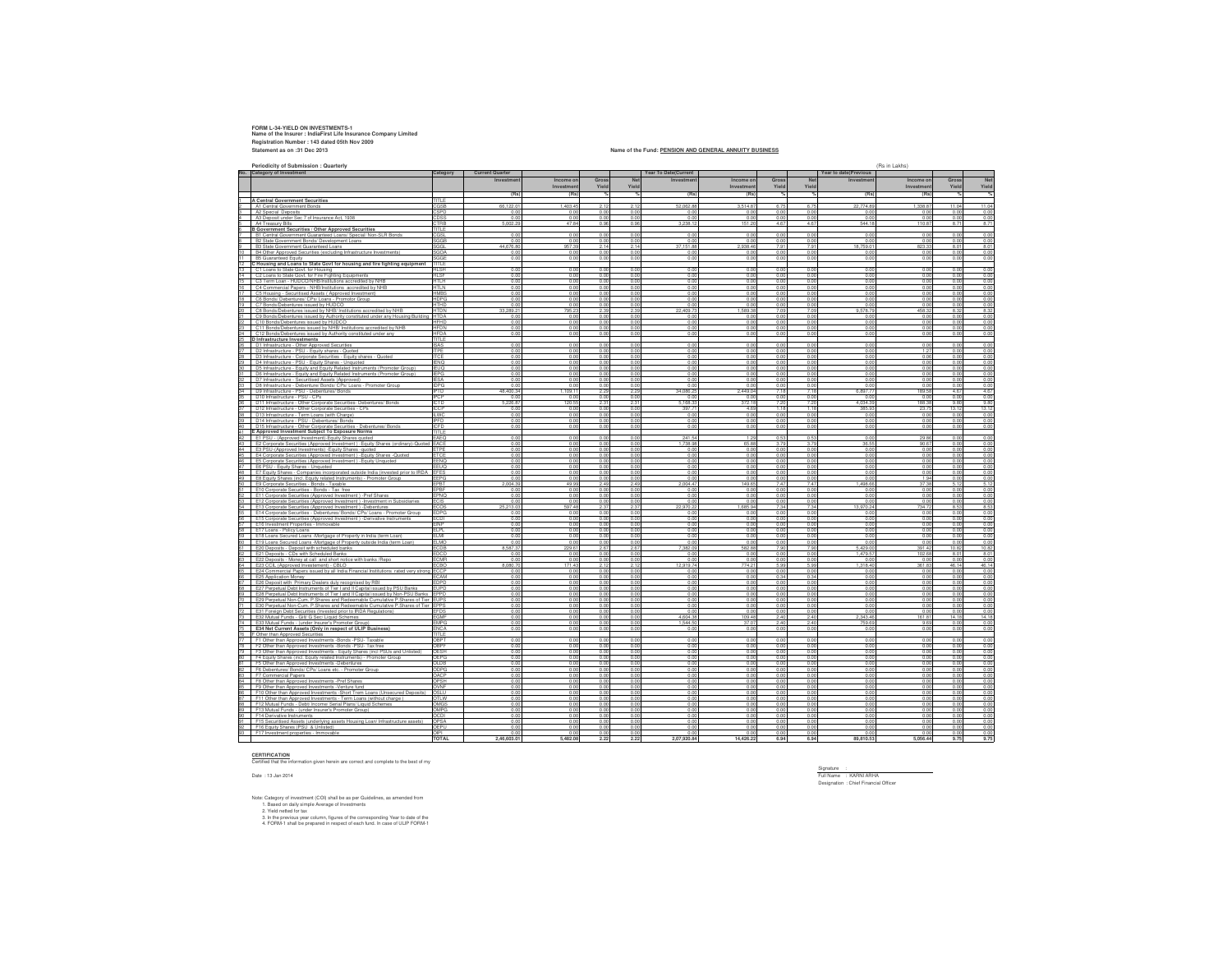## **FORM L-34-YIELD ON INVESTMENTS-1 Name of the Insurer : IndiaFirst Life Insurance Company Limited Registration Number : 143 dated 05th Nov 2009 Statement as on :31 Dec 2013**

## **Name of the Fund: PENSION AND GENERAL ANNUITY BUSINESS**

| Periodicity of Submission : Quarterly                                                                                        |                             |                                  |               |                  |            |                      |             |                |                |                       | (Rs in Lakhs)  |                |                     |  |
|------------------------------------------------------------------------------------------------------------------------------|-----------------------------|----------------------------------|---------------|------------------|------------|----------------------|-------------|----------------|----------------|-----------------------|----------------|----------------|---------------------|--|
| <b>Category of Investment</b>                                                                                                | Category                    | <b>Current Quarter</b>           |               |                  |            | Year To Date(Current |             |                |                | Year to date(Previous |                |                |                     |  |
|                                                                                                                              |                             | Investmen                        | Income or     | Gross            | Ne         | Investmen            | Income or   | Gross          | Net            | Investmen             | Income of      | Gross          | Ne                  |  |
|                                                                                                                              |                             |                                  | Investmen     | Yield            | Yield      |                      | Investmen   | Yield          | Yield          |                       | Investmen      | Yield          | Yield               |  |
|                                                                                                                              |                             | (Rs)                             | (Rs)          | $\gamma_{\rm h}$ |            | (Rs)                 |             | %              | %              | (Rs                   | (Rs            |                |                     |  |
|                                                                                                                              |                             |                                  |               |                  |            |                      | (Rs)        |                |                |                       |                |                |                     |  |
| A Central Government Securities                                                                                              | TITI F                      |                                  | 1.403.45      | 2.12             | 211        | 52.062.8I            | 3.514.8     | 6.75           | 6.75           | 22 774 R              | 1.33R R        | 11.04          | 11.04               |  |
| A1 Central Government Bonds                                                                                                  | CGSB<br><b>SPD</b>          | 66,122.0<br>00                   | 0.00          | 0.00             | 0.01       | 0 <sub>0</sub>       | 00          | 00             | 0.00           | 0 <sub>0</sub>        | 00             | 0.01           |                     |  |
| A2 Special Deposits<br>A3 Deposit under Sec 7 of Insurance Act. 1938                                                         | :nss                        | 00                               | 0.00          | 0.00             | 00         | 00                   | 00          | 0.00           | 0.00           | 00                    | 0 <sub>0</sub> | 00             | 0.00<br>0.0         |  |
| A4 Treasury Bills                                                                                                            | CTRR                        | 5.002.25                         | 47 84         | 0.96             | 0.96       | 3 338 12             | 151.90      | 4.67           | A 67           | <b>5.44 18</b>        | 110.87         | 871            |                     |  |
| <b>B Government Securities / Other Approved Securities</b>                                                                   | <b>TITI F</b>               |                                  |               |                  |            |                      |             |                |                |                       |                |                | 8.71                |  |
| B1 Central Government Guaranteed Loans/ Special/ Non-SLR Bonds                                                               | CGSL                        | 0.00                             | 0.00          | 0.00             | 00         | 0.00                 | 0.00        | 0.00           | 0.00           | 0 <sub>0</sub>        | 0 <sub>0</sub> | 0.00           | 0.00                |  |
| B2 State Government Bonds/ Development Loans                                                                                 | SGGB                        | 00                               | 0.00          | 0.00             | 00         | 0.01                 | 00          | 0.00           | 0.00           | 00                    | 0.0            | 0.00           |                     |  |
| B3 State Government Guaranteed Loans                                                                                         | SGGI                        | 44 676 8                         | 957.39        | 214              | 214        | 37 151 8             | 9384        | 7.91           | 7.91           | 187590                | 823.3          | 8.01           | $\frac{0.00}{8.01}$ |  |
| B4 Other Approved Securities (excluding Infrastructure Investments)                                                          | SGOA                        | 00                               | 0.00          | 0.00             | 00         | 0.01                 | 0.0         | 0.00           | 0.00           | 0.01                  | 00             | 0.00           | 0.00                |  |
| <b>B5 Guaranteed Foulty</b>                                                                                                  | SGGF                        | 0.00                             | 0.00          | 0.00             | 0.00       | 0.00                 | 0.00        | 0.00           | 0.00           | 00                    | 0 <sup>0</sup> | 0.00           | 0.00                |  |
|                                                                                                                              | TITLE                       |                                  |               |                  |            |                      |             |                |                |                       |                |                |                     |  |
| C Housing and Loans to State Govt for housing and fire fighting equipment<br>C1 Loans to State Govt for Housing              | HI SH                       | 0 <sup>0</sup>                   | 00            | 0.00             | 00         | 0.00                 | 00          | 0.00           | 0 <sup>0</sup> | 0 <sub>0</sub>        | 0 <sup>0</sup> | 0.00           | 0.00                |  |
| C2 Loans to State Goyt, for Fire Fighting Equipments                                                                         | HI SF                       | 00                               | 0.00          | 0.00             | 0.01       | 0.01                 | 0.0         | 0.00           | 0.00           | 0 <sub>0</sub>        | 0 <sub>0</sub> | 0.00           |                     |  |
|                                                                                                                              | HTI H                       | 0.01                             | 0.00          | 0.00             | 00         | 00                   | 0.0         | 0.00           | 0.00           | 0.01                  | 0 <sub>0</sub> | 0.00           | 0.00                |  |
| C3 Term Loan - HUDCO/NHB/Institutions accredited by NHB<br>C4 Commercial Papers - NHR/Institutions, accredited by NHR<br>16  | HTI N                       | 0.01                             | 0.00          | 0.00             | 00         | 0.00                 | 0.0         | 0.00           | 0.00           | 0 <sub>0</sub>        | 0 <sup>0</sup> | 0.00           | 0.00<br>0.00        |  |
| C5 Housing - Securitised Assets (Approved Investment)                                                                        | <b>HMRS</b>                 | 0.00                             | 0.00          | 0.00             | 0.00       | 0.00                 | 0.00        | 0.00           | 0.00           | 0.01                  | 0.00           | 0.00           | 0.00                |  |
| C6 Bonds/ Debentures/ CPs/ Loans - Promotor Group                                                                            | <b>HDPG</b>                 | 0.00                             | 0.00          | 0.00             | 00         | 0.00                 | 0.0         | 0.00           | 0.00           | 0 <sub>0</sub>        | 0 <sup>0</sup> | 00             | 0.00                |  |
| 19<br>C7 Bonds/Debentures issued by HUDCO                                                                                    | HTHD                        | 0.00                             | 0.00          | 0.00             | 0.00       | 0.00                 | 0.0         | 0.00           | 0.00           | 0.0                   | 0.0            | 0.00           | 0.00                |  |
| 20<br>C8 Bonds/Debentures issued by NHB/ Institutions accredited by NHB                                                      | <b>HTDN</b>                 | 33.289.2                         | 795.23        | 2.39             | 2.39       | 22.409.73            | 1.589.38    | 7.09           | 7.09           | 9,578.7               | 458.3          | 8.32           | 8.32                |  |
| C9 Bonds/Debentures issued by Authority constituted under any Housing/Building HTDA                                          |                             | 0.00                             | 0.00          | 0.00             | 0.00       | 0.00                 | 0.00        | 0.00           | 0.00           | 0.01                  | 0.01           | 0.00           | 0.00                |  |
| C10 Bonds/Debentures issued by HUDCO                                                                                         | <b>HFHD</b>                 | 0.00                             | 0.00          | 0.00             | 0.00       | 0.00                 | 0.00        | 0.00           | 0.00           | 0.0                   | 0.0            | 0.00           | 0.00                |  |
|                                                                                                                              | <b>HFDN</b>                 | 0.00                             | 0.00          | 0.00             |            | 0.00                 | 0.00        | 0.00           | 0.00           | 0.01                  | 0.01           | 0.00           | 0.00                |  |
| 23<br>C11 Bonds/Debentures issued by NHB/ Institutions accredited by NHB                                                     |                             |                                  |               |                  | 0.00       |                      | 0.00        |                |                |                       |                | 0.00           | 0.00                |  |
| 24<br>C12 Bonds/Debentures issued by Authority constituted under any<br>25.                                                  | <b>HFDA</b><br>TITI F       | 0.00                             | 0.00          | 0.00             | 0.00       | 0.00                 |             | 0.00           | 0.00           | 0.01                  | 0.01           |                |                     |  |
| D Infrastructure Investments                                                                                                 | <b>ISAS</b>                 | 000                              | 0.00          | 0.00             | 0.OC       | 0.00                 | 00          | 0.00           | 0.00           | 0.01                  | 0 <sup>0</sup> | 0.00           | 0.00                |  |
| D1 Infrastructure - Other Approved Securities<br>D2 Infrastructure - PSU - Foulty shares - Quoted                            | <b>ITPF</b>                 | 000                              | 0.00          | 0.00             | 0.OC       | 0.00                 | 0.00        | 0.00           | 0.00           | 00                    | 12             | 0.00           | 0.00                |  |
|                                                                                                                              |                             |                                  |               |                  |            |                      |             |                |                |                       |                |                |                     |  |
| 28.<br>D3 Infrastructure - Corporate Securities - Equity shares - Quoted                                                     | <b>ITCF</b>                 | 000                              | 00            | 0.00             | 0.00       | 0.00                 | 00          | 0.00           | 0.00           | 0.01                  | 00f            | 0.00           | 0.00<br>0.00        |  |
| D4 Infrastructure - PSU - Fouity Shares - Unquoted                                                                           | <b>IFNO</b><br><b>IFLIO</b> | 0 <sub>0</sub>                   | 0.00          | 0.00<br>0.00     | 00<br>0.01 | 0.00                 | 0.0         | 0.00<br>0.01   | 0.00<br>0.01   | 00<br>0.0             | 0.01<br>0.0    | 0.00<br>0.01   | 0.00                |  |
| D5 Infrastructure - Fouity and Fouity Related Instruments (Promoter Group)                                                   | <b>IFPG</b>                 | 0 <sub>0</sub><br>0 <sub>0</sub> | 0.00<br>0.00  | 0.00             | 00         | 0.01<br>0.00         | 0.0<br>00   | 0.01           | 0.00           | 0 <sub>0</sub>        | 0 <sub>0</sub> | 0.0            | 0.00                |  |
| D6 Infrastructure - Equity and Equity Related Instruments (Promoter Group)                                                   |                             |                                  |               |                  |            |                      |             |                |                |                       |                |                | 0 <sup>0</sup>      |  |
| D7 Infrastructure - Securitised Assets (Approved)<br>D8 Infrastructure - Debenture/ Bonds/ CPs/ Loans - Promoter Group<br>33 | <b>IESA</b><br><b>IDPG</b>  | 0.01<br>0.00                     | 0.00<br>0.00  | 0.00<br>0.00     | 00<br>0.00 | 0.00<br>0.00         | 0.0<br>0.00 | 0.01<br>0.00   | 0.00<br>0.00   | 00<br>0.01            | 00<br>0.01     | 0.01<br>0.00   | 0.00                |  |
|                                                                                                                              |                             |                                  |               |                  |            | 34 086 25            |             | 7 18           | 7 18           |                       |                |                |                     |  |
| D9 Infrastructure - PSU - Debentures/ Bonds<br>34                                                                            | <b>IPTD</b>                 | 48.400.34                        | 1,109.11      | 2.29             | 2.29       |                      | 2,449.0     |                |                | 6,897.7               | 189.5<br>00    | 4.67           | 4.67                |  |
| D10 Infrastructure - PSU - CPs<br>D11 Infrastructure - Other Corporate Securities- Debentures/ Bonds                         | IPCP                        | 0.01                             | 0.00          | 0.00             | 0.00       | 0.00                 | 0.0         | 0.00           | 0.00           | 00<br>4.034.3         |                | 0.00           | 0.00                |  |
|                                                                                                                              | <b>ICTD</b>                 | 5.226.8                          | 120.5         | 2.31             | 2.31       | 5.168.33             | 372.1       | 7.2<br>118     | 7.2            |                       | 188.3          | 9.81           | 9.80                |  |
| D12 Infrastructure - Other Corporate Securities - CPs                                                                        | ICCP                        | 0.00                             | 0.00          | 0.00             | 0.00       | 397.71               | 4.69        |                | 1 18           | 385.9                 | 23.7           | 13.12          | 13.12               |  |
| D13 Infrastructure - Term Loans (with Charge)                                                                                | <b>LWC</b>                  | 000                              | 0.00          | 000              | 00         | 000                  | 0.0         | 0.00           | 0.00           | 00                    | 00             | 000            | 0.00                |  |
| 39<br>D14 Infrastructure - PSU - Debentures/ Bonds                                                                           | <b>IPFD</b>                 | 0.00                             | 0.00          | 0.00             | 00         | 0.00                 | 0.0         | 0.00           | 0.00           | 0.01                  | 0 <sub>0</sub> | 0.00           | 0.00                |  |
| D15 Infrastructure - Other Corporate Securities - Debentures/ Bonds                                                          | <b>ICFD</b>                 | 0.00                             | 0.00          | 0.00             | 0.00       | 0.00                 | 0.00        | 0.00           | 0.00           | 0.01                  | 0.0            | 0.00           | 0.00                |  |
| E Approved Investment Subject To Exposure Norms                                                                              | TITLE                       |                                  |               |                  |            |                      |             |                |                |                       |                |                |                     |  |
| E1 PSU - (Approved Investment)-Equity Shares quoted                                                                          | EAEO                        | 0.00                             | 0.00          | 0.00             | 0.00       | 241.54               | 12          | 0.52           | 0.53           | 0 <sub>0</sub>        | 29.8           | 0.00           | 0.00                |  |
| E2 Corporate Securities (Approved Investment) - Equity Shares (ordinary)-Quoted EACE                                         |                             | 0.0                              | 0.00          | 0.00             | 0.00       | 1.738.98             | 65 R        | 379            | 3.75           | 36.5                  | 90.6           | 0.00           | 0.00                |  |
| E3 PSU-(Approved Investments) - Equity Shares -quoted                                                                        | ETPE                        | 0.0                              | 0.0           | 0.0              | 0.0        | 0.0                  | 0.0         | 0.0            | 0.0            | 0.0                   | 0.0            | 0.0            | 0.00                |  |
| E4 Corporate Securities (Approved Investment) - Equity Shares - Quoted                                                       | ETCE                        | 0.0                              | 0.00          | 0.00             | 0.00       | 0.00                 | 0.0         | 0.00           | 0.00           | 0.0                   | 0.0            | 0.00           | 0.00                |  |
| E5 Corporate Securities (Approved Investment) - Equity Unquoted                                                              | EENQ                        | 0.0                              | 0.00          | 0.00             | 0.01       | 0.0                  | 0.0         | 0.0            | 0.0            | 0.0                   | 0.0            | 0.0            | 0.00                |  |
| E6 PSU - Equity Shares - Unquoted                                                                                            | EEUQ                        | 0.0                              | 0.00<br>000   | 0.00<br>00       | 0.01<br>00 | 0.01                 | 0.0         | 0.0            | 0.00           | 0.0                   | 0.0            | 0.0            | 0.00                |  |
| E7 Equity Shares - Companies incorporated outside India (invested prior to IRDA EFES                                         |                             | 00                               |               |                  |            | 0.01                 | 0.0         | 0 <sub>0</sub> | 0.00           | 00                    | 0 <sub>0</sub> | 0.0            | 0.00                |  |
| 49<br>E8 Equity Shares (incl. Equity related Instruments) - Promoter Group                                                   | FFPG                        | 0.01                             | 0.00          | 0.00             | 0.00       | 0.00                 | 0.0         | 0.00           | 0.00           | 0 <sub>0</sub>        | 19             | 0.00           | 0.00                |  |
| E9 Corporate Securities - Bonds - Taxable                                                                                    | EPBT                        | 2,004.3                          | 49.99         | 245              | 249        | 200447               | 149 F       | 747            | 7.47           | 1 49R F               | 373            | 511            | 51                  |  |
| E10 Corporate Securities - Bonds - Tax free                                                                                  | FPRF                        | 0.0                              | 0.00          | 0.00             | 0.00       | 0.00                 | 0.0         | 0.00           | 0.00           | 0.0                   | 0.01           | 0.00           | 0.00                |  |
| E11 Corporate Securities (Approved Investment) -Pref Shares                                                                  | EPNO                        | 0.0                              | 0.00          | 0.00             | 0.0        | 0 <sub>0</sub>       | 0.0         | 0.0            | 0.0            | 00                    | 0 <sub>0</sub> | 0.0            | 0.00                |  |
| E12 Corporate Securities (Approved Investment ) - Investment in Subsidiaries                                                 | <b>ECIS</b>                 | 0.0                              | 0.00          | 0.00             | 0.01       | 0.01                 | 0.0         | 0.01           | 0.00           | 0.0                   | 00             | 0.01           | 0.00                |  |
| E13 Corporate Securities (Approved Investment ) -Debentures                                                                  | ECOS                        | 52130                            | <b>597 48</b> | 2.37             | 2.37       | 22 970 23            | 1 685 S     | 7.34           | 7.34           | 139702                | 7347           | 8.53           | 8.53                |  |
| E14 Corporate Securities - Debentures/ Bonds/ CPs/ Loans - Promoter Group                                                    | <b>FDPG</b>                 | 0.01                             | 0.00          | 0.00             | 0.00       | 0.01                 | 0.0         | 0.00           | 0.00           | 0 <sub>0</sub>        | 0 <sub>0</sub> | 0.00           | 0.00                |  |
| E15 Corporate Securities (Approved Investment ) - Derivative Instruments                                                     | ECDI                        | 0.0                              | 0.0           | 0.0              | 0.0        | 0.0                  | 0.0         | 0.0            | 0.0            | 0.0                   | 0.0            | 0.0            | 0.00                |  |
| E16 Investment Properties - Immovable                                                                                        | EINP                        | 0.0                              | 0.00          | 0.00             | 0.00       | 0.00                 | 0.0         | 0.0            | 0.00           | 0.0                   | 0.0            | 0.01           | 0.00                |  |
| E17 Loans - Policy Loans                                                                                                     | ELPL                        | 0.0                              | 0.00          | 0.00             | 0.01       | 0.0                  | 0.0         | 0.0            | 0.0            | 0.0                   | 0.0            | 0.0            | 0.00                |  |
| E18 Loans Secured Loans -Mortgage of Property in India (term Loan)                                                           | <b>FIMI</b>                 | 0.0                              | 0.00          | 0.00             | 0.01       | 0.01                 | 0.0         | 0.00           | 0.00           | 0.0                   | 0.0            | 0.01           | 0.00                |  |
| E19 Loans Secured Loans -Mortgage of Property outside India (term Loan                                                       | <b>ELMO</b>                 | 0.0                              | 0.00          | 0.0              | 0.0        | 0.0                  | 0.0         | 0.0            | 0.0            | 0.0                   | 0.0            | 0.0            | 0.00                |  |
| E20 Deposits - Deposit with scheduled banks                                                                                  | ECDB                        | 8.587.3                          | 229.6         | 2.67             | 2.67       | 7.382.0              | 582.8       | 7.9            | 7.9            | 5,429.0               | 391.4          | 10.8           | 10.82               |  |
| E21 Deposits - CDs with Scheduled Banks                                                                                      | EDCD                        | 0.0                              | 0.0           | 0.0              | 0.0        | 0.0                  | 0.0         | 0.0            | 0.0            | 1.479.5               | 102.6          | 8.0            | 8.0                 |  |
| E22 Deposits - Money at call and short notice with banks /Repo                                                               | ECMR                        | 0.0                              | 0.00          | 0.00             | 0.00       | 0.00                 | 0.0         | 0.00           | 0.00           | 0.0                   | 0.0            | 0.00           | 0.00                |  |
| E23 CCIL (Approved Investement) - CBLO                                                                                       | ECBO                        | 8,080.7                          | 171.43        | 2.12             | 2.12       | 12.919.7             | 774.2       | 5.9            | 5.9            | 1,318.4               | 361.8          | 46.1           | 46.14               |  |
| E24 Commercial Papers issued by all India Financial Institutions rated very strong ECCP                                      |                             | 0.0                              | 0.00          | 0.00             | 0.00       | 0.01                 | 0.0         | 0.01           | 0.00           | 0.0                   | 0.0            | 0.01           | 0.00                |  |
| E25 Application Money                                                                                                        | ECAM                        | 0.0                              | 0.00          | 000              | 0.01       | 0.01                 | 0.0         | 0.34           | 0.34           | 00                    | 00             | 0.01           | 0.00                |  |
| E26 Deposit with Primary Dealers duly recognised by RBI                                                                      |                             | 0.01                             | 0.00          | 0.00             | 0.00       | 0.00                 | 0.0         | 0.00           | 0.00           | 0.0                   | 0.0            | 0.01           | 0.00                |  |
| E27 Perpetual Debt Instruments of Tier I and Il Capital issued by PSU Banks                                                  |                             | 0 <sub>0</sub>                   | 0.01          | 0.00             | 0.01       | 0.00                 |             | 0.01           | 0.OC           | 0.0                   | 0 <sub>0</sub> | 0.0            | 0.0                 |  |
| E28 Perpetual Debt Instruments of Tier I and II Capital issued by Non-PSU Banks EPPD                                         |                             | 0.01                             | 0.00          | 0.00             | 0.00       | 0.00                 | 0.0         | 0.00           | 0.00           | 0.0                   | 0.0            | 0.00           | 0.00                |  |
| E29 Perpetual Non-Cum. P.Shares and Redeemable Cumulative P.Shares of Tier EUPS                                              |                             | 0.0                              | 0.00          | 0.00             | 0.01       | 0.0                  | 0.0         | 0.0            | 0.00           | 0.0                   | 0.0            | 0.0            | 0.00                |  |
| E30 Perpetual Non-Cum. P.Shares and Redeemable Cumulative P.Shares of Tier EPPS                                              |                             | 0.01                             | 0.00          | 0.00             | 0.00       | 0.00                 | 0.0         | 0.00           | 0.00           | 0.0                   | 0.0            | 0.00           | 0.00                |  |
| E31 Foreign Debt Securities (Invested prior to IRDA Regulations)                                                             | <b>EFDS</b>                 |                                  | 0.0           | 0.0              | 0.0        | 0.0                  |             | 0.0            | 0.0            | 0.0                   | 0.0            | 0.0            | 0.00                |  |
| E32 Mutual Funds - Gill/ G Sec/ Liquid Schemes                                                                               | <b>EGMF</b>                 | 0.01                             | 0.00          | 0.00             | 0.00       | 4.604.3              | 109.4       | 2.40           | 2.40           | 2,343.46              | 161.8          | 14.18          | 14.18               |  |
| E33 Mutual Funds - (under Insurer's Promoter Group)                                                                          | <b>EMPG</b>                 | 0.0                              | 0.00          | 0.00             | 0.01       | 1.544.5              | 37.0        | 2.40           | 2.40           | 759.6                 | 9.6            | 0.0            | 0.00                |  |
| E34 Net Current Assets (Only in respect of ULIP Business)                                                                    | <b>ENCA</b>                 | 0.0                              | 0.00          | 0.00             | 0.01       | 0.0                  | 0.0         | 0.00           | 0.00           | 0.0                   | 0.0            | 0.01           | 0.00                |  |
| Other than Approved Securities                                                                                               | TITLE                       |                                  |               |                  |            |                      |             |                |                |                       |                |                |                     |  |
| F1 Other than Approved Investments -Bonds -PSU- Taxable                                                                      | OBPT                        | 0.00                             | 0.00          | 0.00             | 0.01       | 0.00                 | 0.0         | 0.00           | 0.00           | 0.00                  | 0.0            | 0.00           | 0.00                |  |
| F2 Other than Approved Investments -Bonds -PSU- Tax free                                                                     | ORPE                        | 0.0                              | 0.0           | 0.0              | 0.0        | 0.0                  | 0.0         | 0.0            | 0.0            | 0.0                   | 0.0            | 0.0            | 0.00                |  |
| F3 Other than Approved Investments - Equity Shares (incl PSUs and Unlisted                                                   | OESH                        | $\overline{0}$                   | 0.00          | 000              | 0.0        | 0.0                  |             | 0.00           | 0.00           | 00                    | 00             | 0.0            | 0.0                 |  |
| F4 Equity Shares (incl. Equity related Instruments) - Promoter Group                                                         | OEPG                        | 0.01                             | 0.00          | 0.00             | 0.00       | 0.00                 | 0.0         | 0.00           | 0.00           | 0.01                  | 0.0            | 0.01           | 0.00                |  |
| F5 Other than Approved Investments -Debentures                                                                               | OI DR                       | 0.01                             | 0.00          | 0.00             | 00         | 0.00                 | 0.0         | 0.00           | 0.00           | 00                    | 0 <sub>0</sub> | 0.01           | 0.0                 |  |
| F6 Debentures/ Bonds/ CPs/ Loans etc. - Promoter Group                                                                       | ODPG                        | 0.00                             | 000           | 0.00             | 00         | 0.00                 | 0.0         | 0.00           | 0.00           | 00                    | 00             | 0.00           | 0.00                |  |
| F7 Commercial Papers                                                                                                         | <b>OACP</b>                 | 0.00                             | 0.00          | 0.00             | 000        | 0.00                 | 0.00        | 0.00           | 0.00           | 0 <sup>0</sup>        | 0 <sup>0</sup> | 0.00           | 0.00                |  |
| F8 Other than Approved Investments -Pref Shares                                                                              | <b>H2QU</b>                 | 0 <sub>0</sub>                   | 000           | 000              | 000        | 0.00                 | 0.0         | 0.00           | 0.00           | 0.0                   | 00             | 00             | 0.00                |  |
| F9 Other than Approved Investments -Venture fund                                                                             | OVNF                        | 0.01                             | 0.00          | 0.00             | 0.00       | 0.00                 | 0.0         | 0.00           | 0.00           | 0.0                   | 0.0            | 0.00           | 0.00                |  |
| F10 Other than Approved Investments -Short Trem Loans (Unsecured Deposits)                                                   | OSLU                        | 0.0                              | 0.00          | 0.00             | 0.01       | 0.00                 | 0.0         | 0.00           | 0.00           | 0.0                   | 0.0            | 0.01           | 0.00                |  |
| F11 Other than Approved Investments - Term Loans (without charge)                                                            | OTLW                        | 0.0                              | 0.00          | 0.00             | 0.01       | 0.00                 | 0.0         | 0.00           | 0.00           | 0.0                   | 0.0            | 0.01           | 0.00                |  |
| F12 Mutual Funds - Debt/ Income/ Serial Plans/ Liquid Scheme                                                                 | OMGS                        | 0 <sub>0</sub>                   | 0.00          | 0.00             | 00         | 0.00                 | 0.0         | 0.0            | 0.00           | 0 <sub>0</sub>        | 0.0            | 0.0            | 0.00                |  |
| F13 Mutual Funds - (under Insurer's Promoter Group)                                                                          | OMPG                        | 0.00                             | 0.00          | 0.00             | 0.00       | 0.00                 | 0.0         | 0.00           | 0.00           | 0.0                   | 0.0            | 0.00           | 0.00                |  |
| F14 Derivative Instruments                                                                                                   | OCDI                        | 0.0                              | 0.00          | 0.00             | 0.01       | 0.00                 | 0.0         | 0.01           | 0.00           | 0.0                   | 0.0            | 0.01           | 0.00                |  |
| F15 Securitised Assets (underlying assets Housing Loan/ Infrastructure assets)                                               |                             | 0 <sub>0</sub>                   | 0.00          | 0.00             | 0.00       | 0.00                 | 0.0         | 0.00           | 0.00           | 0 <sub>0</sub>        | 0 <sub>0</sub> | 0.01           | 0.00                |  |
| F16 Equity Shares (PSU & Unlisted)                                                                                           | OFPU                        | 0.01                             | 0.01          | 0.00             | 0.00       | 0.00                 | 0.0         | 0.00           | 0.00           | 0.00                  | 0.01           | 0.00           | 0.00                |  |
| F17 Investment properties - Immovable                                                                                        | OIDI                        | 0.01                             | 0.01          | 0.00             | 0.00       | 00                   | 0.00        | 0.00           | 0.00           | 0.01                  | 0.01           | $0.00$<br>9.75 | 0.00                |  |
|                                                                                                                              | <b>TOTAL</b>                | 2,46,603.01                      | 5.482.08      | 2.22             | 2.22       | 2.07.920.84          | 14.426.22   | 6.94           | 6.94           | 89,810.53             | 5.056.44       |                | 9.75                |  |

**CERTIFICATION** Certified that the information given herein are correct and complete to the best of my

Date : 13 Jan 2014

Note: Category of investment (COI) shall be as per Guidelines, as amended from<br>1. Based on daily simple Average of Irwestments<br>2. Yield netted for tax<br>3. In the previous year column, figures of the corresponding Year to da

Signature :<br>Full Name : KARNI ARHA<br>Designation : Chief Financial Officer